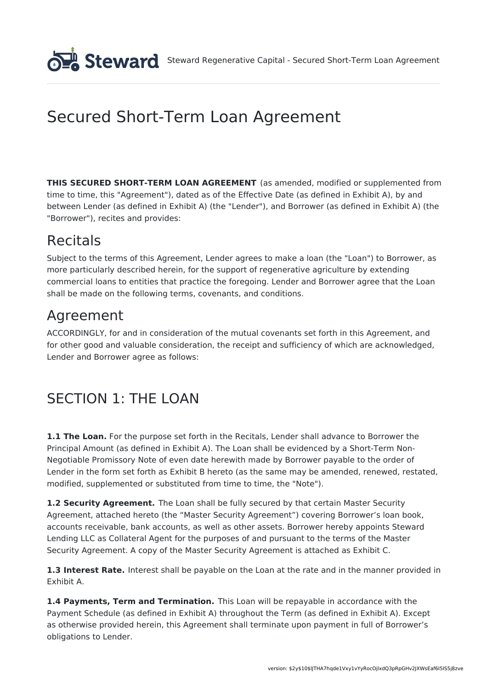# Secured Short-Term Loan Agreement

**THIS SECURED SHORT-TERM LOAN AGREEMENT** (as amended, modified or supplemented from time to time, this "Agreement"), dated as of the Effective Date (as defined in Exhibit A), by and between Lender (as defined in Exhibit A) (the "Lender"), and Borrower (as defined in Exhibit A) (the "Borrower"), recites and provides:

# Recitals

Subject to the terms of this Agreement, Lender agrees to make a loan (the "Loan") to Borrower, as more particularly described herein, for the support of regenerative agriculture by extending commercial loans to entities that practice the foregoing. Lender and Borrower agree that the Loan shall be made on the following terms, covenants, and conditions.

# Agreement

ACCORDINGLY, for and in consideration of the mutual covenants set forth in this Agreement, and for other good and valuable consideration, the receipt and sufficiency of which are acknowledged, Lender and Borrower agree as follows:

# SECTION 1: THE LOAN

**1.1 The Loan.** For the purpose set forth in the Recitals, Lender shall advance to Borrower the Principal Amount (as defined in Exhibit A). The Loan shall be evidenced by a Short-Term Non-Negotiable Promissory Note of even date herewith made by Borrower payable to the order of Lender in the form set forth as Exhibit B hereto (as the same may be amended, renewed, restated, modified, supplemented or substituted from time to time, the "Note").

**1.2 Security Agreement.** The Loan shall be fully secured by that certain Master Security Agreement, attached hereto (the "Master Security Agreement") covering Borrower's loan book, accounts receivable, bank accounts, as well as other assets. Borrower hereby appoints Steward Lending LLC as Collateral Agent for the purposes of and pursuant to the terms of the Master Security Agreement. A copy of the Master Security Agreement is attached as Exhibit C.

**1.3 Interest Rate.** Interest shall be payable on the Loan at the rate and in the manner provided in Exhibit A.

**1.4 Payments, Term and Termination.** This Loan will be repayable in accordance with the Payment Schedule (as defined in Exhibit A) throughout the Term (as defined in Exhibit A). Except as otherwise provided herein, this Agreement shall terminate upon payment in full of Borrower's obligations to Lender.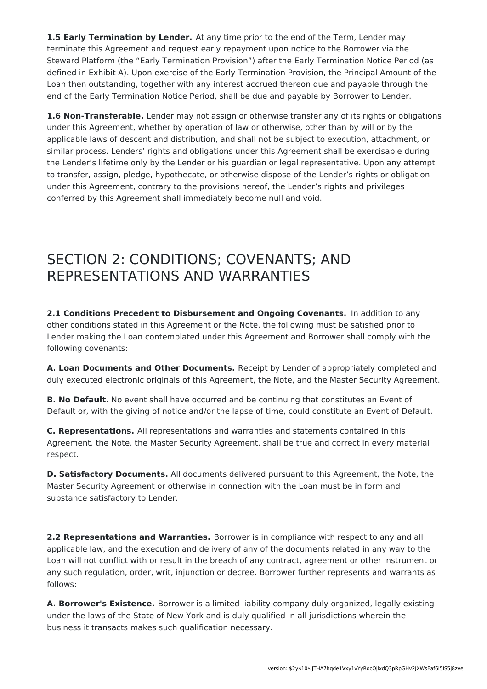**1.5 Early Termination by Lender.** At any time prior to the end of the Term, Lender may terminate this Agreement and request early repayment upon notice to the Borrower via the Steward Platform (the "Early Termination Provision") after the Early Termination Notice Period (as defined in Exhibit A). Upon exercise of the Early Termination Provision, the Principal Amount of the Loan then outstanding, together with any interest accrued thereon due and payable through the end of the Early Termination Notice Period, shall be due and payable by Borrower to Lender.

**1.6 Non-Transferable.** Lender may not assign or otherwise transfer any of its rights or obligations under this Agreement, whether by operation of law or otherwise, other than by will or by the applicable laws of descent and distribution, and shall not be subject to execution, attachment, or similar process. Lenders' rights and obligations under this Agreement shall be exercisable during the Lender's lifetime only by the Lender or his guardian or legal representative. Upon any attempt to transfer, assign, pledge, hypothecate, or otherwise dispose of the Lender's rights or obligation under this Agreement, contrary to the provisions hereof, the Lender's rights and privileges conferred by this Agreement shall immediately become null and void.

# SECTION 2: CONDITIONS; COVENANTS; AND REPRESENTATIONS AND WARRANTIES

**2.1 Conditions Precedent to Disbursement and Ongoing Covenants.** In addition to any other conditions stated in this Agreement or the Note, the following must be satisfied prior to Lender making the Loan contemplated under this Agreement and Borrower shall comply with the following covenants:

**A. Loan Documents and Other Documents.** Receipt by Lender of appropriately completed and duly executed electronic originals of this Agreement, the Note, and the Master Security Agreement.

**B. No Default.** No event shall have occurred and be continuing that constitutes an Event of Default or, with the giving of notice and/or the lapse of time, could constitute an Event of Default.

**C. Representations.** All representations and warranties and statements contained in this Agreement, the Note, the Master Security Agreement, shall be true and correct in every material respect.

**D. Satisfactory Documents.** All documents delivered pursuant to this Agreement, the Note, the Master Security Agreement or otherwise in connection with the Loan must be in form and substance satisfactory to Lender.

**2.2 Representations and Warranties.** Borrower is in compliance with respect to any and all applicable law, and the execution and delivery of any of the documents related in any way to the Loan will not conflict with or result in the breach of any contract, agreement or other instrument or any such regulation, order, writ, injunction or decree. Borrower further represents and warrants as follows:

**A. Borrower's Existence.** Borrower is a limited liability company duly organized, legally existing under the laws of the State of New York and is duly qualified in all jurisdictions wherein the business it transacts makes such qualification necessary.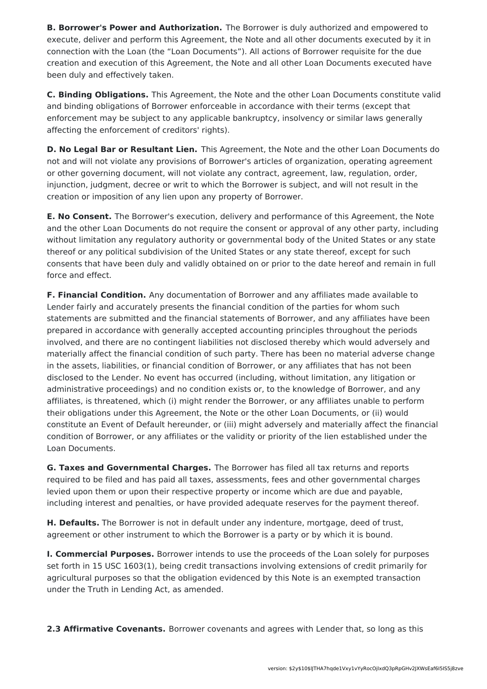**B. Borrower's Power and Authorization.** The Borrower is duly authorized and empowered to execute, deliver and perform this Agreement, the Note and all other documents executed by it in connection with the Loan (the "Loan Documents"). All actions of Borrower requisite for the due creation and execution of this Agreement, the Note and all other Loan Documents executed have been duly and effectively taken.

**C. Binding Obligations.** This Agreement, the Note and the other Loan Documents constitute valid and binding obligations of Borrower enforceable in accordance with their terms (except that enforcement may be subject to any applicable bankruptcy, insolvency or similar laws generally affecting the enforcement of creditors' rights).

**D. No Legal Bar or Resultant Lien.** This Agreement, the Note and the other Loan Documents do not and will not violate any provisions of Borrower's articles of organization, operating agreement or other governing document, will not violate any contract, agreement, law, regulation, order, injunction, judgment, decree or writ to which the Borrower is subject, and will not result in the creation or imposition of any lien upon any property of Borrower.

**E. No Consent.** The Borrower's execution, delivery and performance of this Agreement, the Note and the other Loan Documents do not require the consent or approval of any other party, including without limitation any regulatory authority or governmental body of the United States or any state thereof or any political subdivision of the United States or any state thereof, except for such consents that have been duly and validly obtained on or prior to the date hereof and remain in full force and effect.

**F. Financial Condition.** Any documentation of Borrower and any affiliates made available to Lender fairly and accurately presents the financial condition of the parties for whom such statements are submitted and the financial statements of Borrower, and any affiliates have been prepared in accordance with generally accepted accounting principles throughout the periods involved, and there are no contingent liabilities not disclosed thereby which would adversely and materially affect the financial condition of such party. There has been no material adverse change in the assets, liabilities, or financial condition of Borrower, or any affiliates that has not been disclosed to the Lender. No event has occurred (including, without limitation, any litigation or administrative proceedings) and no condition exists or, to the knowledge of Borrower, and any affiliates, is threatened, which (i) might render the Borrower, or any affiliates unable to perform their obligations under this Agreement, the Note or the other Loan Documents, or (ii) would constitute an Event of Default hereunder, or (iii) might adversely and materially affect the financial condition of Borrower, or any affiliates or the validity or priority of the lien established under the Loan Documents.

**G. Taxes and Governmental Charges.** The Borrower has filed all tax returns and reports required to be filed and has paid all taxes, assessments, fees and other governmental charges levied upon them or upon their respective property or income which are due and payable, including interest and penalties, or have provided adequate reserves for the payment thereof.

**H. Defaults.** The Borrower is not in default under any indenture, mortgage, deed of trust, agreement or other instrument to which the Borrower is a party or by which it is bound.

**I. Commercial Purposes.** Borrower intends to use the proceeds of the Loan solely for purposes set forth in 15 USC 1603(1), being credit transactions involving extensions of credit primarily for agricultural purposes so that the obligation evidenced by this Note is an exempted transaction under the Truth in Lending Act, as amended.

**2.3 Affirmative Covenants.** Borrower covenants and agrees with Lender that, so long as this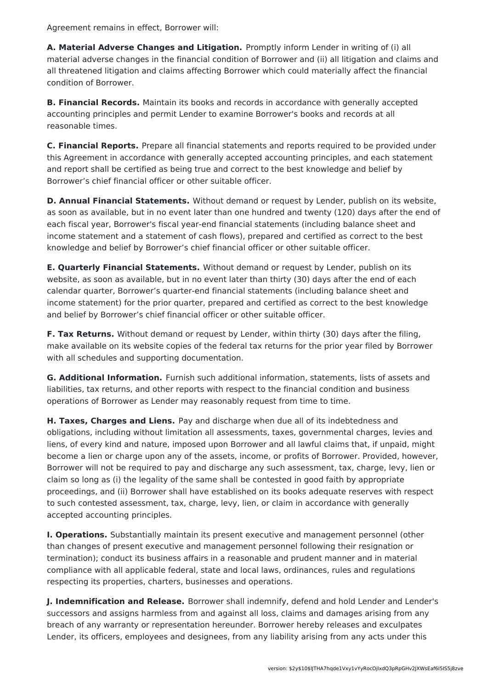Agreement remains in effect, Borrower will:

**A. Material Adverse Changes and Litigation.** Promptly inform Lender in writing of (i) all material adverse changes in the financial condition of Borrower and (ii) all litigation and claims and all threatened litigation and claims affecting Borrower which could materially affect the financial condition of Borrower.

**B. Financial Records.** Maintain its books and records in accordance with generally accepted accounting principles and permit Lender to examine Borrower's books and records at all reasonable times.

**C. Financial Reports.** Prepare all financial statements and reports required to be provided under this Agreement in accordance with generally accepted accounting principles, and each statement and report shall be certified as being true and correct to the best knowledge and belief by Borrower's chief financial officer or other suitable officer.

**D. Annual Financial Statements.** Without demand or request by Lender, publish on its website, as soon as available, but in no event later than one hundred and twenty (120) days after the end of each fiscal year, Borrower's fiscal year-end financial statements (including balance sheet and income statement and a statement of cash flows), prepared and certified as correct to the best knowledge and belief by Borrower's chief financial officer or other suitable officer.

**E. Quarterly Financial Statements.** Without demand or request by Lender, publish on its website, as soon as available, but in no event later than thirty (30) days after the end of each calendar quarter, Borrower's quarter-end financial statements (including balance sheet and income statement) for the prior quarter, prepared and certified as correct to the best knowledge and belief by Borrower's chief financial officer or other suitable officer.

**F. Tax Returns.** Without demand or request by Lender, within thirty (30) days after the filing, make available on its website copies of the federal tax returns for the prior year filed by Borrower with all schedules and supporting documentation.

**G. Additional Information.** Furnish such additional information, statements, lists of assets and liabilities, tax returns, and other reports with respect to the financial condition and business operations of Borrower as Lender may reasonably request from time to time.

**H. Taxes, Charges and Liens.** Pay and discharge when due all of its indebtedness and obligations, including without limitation all assessments, taxes, governmental charges, levies and liens, of every kind and nature, imposed upon Borrower and all lawful claims that, if unpaid, might become a lien or charge upon any of the assets, income, or profits of Borrower. Provided, however, Borrower will not be required to pay and discharge any such assessment, tax, charge, levy, lien or claim so long as (i) the legality of the same shall be contested in good faith by appropriate proceedings, and (ii) Borrower shall have established on its books adequate reserves with respect to such contested assessment, tax, charge, levy, lien, or claim in accordance with generally accepted accounting principles.

**I. Operations.** Substantially maintain its present executive and management personnel (other than changes of present executive and management personnel following their resignation or termination); conduct its business affairs in a reasonable and prudent manner and in material compliance with all applicable federal, state and local laws, ordinances, rules and regulations respecting its properties, charters, businesses and operations.

**J. Indemnification and Release.** Borrower shall indemnify, defend and hold Lender and Lender's successors and assigns harmless from and against all loss, claims and damages arising from any breach of any warranty or representation hereunder. Borrower hereby releases and exculpates Lender, its officers, employees and designees, from any liability arising from any acts under this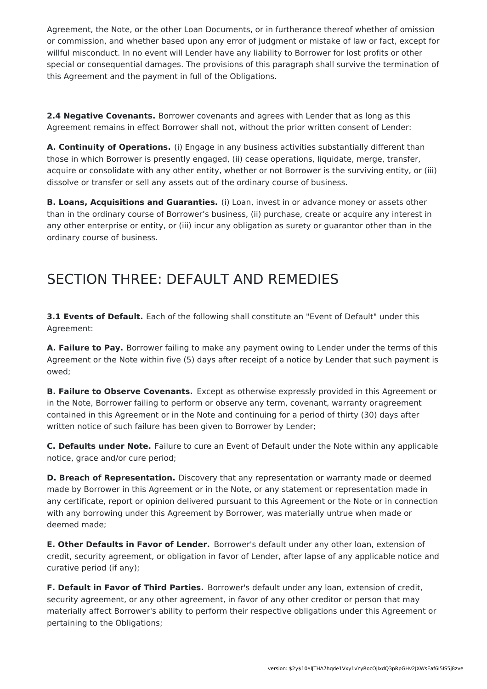Agreement, the Note, or the other Loan Documents, or in furtherance thereof whether of omission or commission, and whether based upon any error of judgment or mistake of law or fact, except for willful misconduct. In no event will Lender have any liability to Borrower for lost profits or other special or consequential damages. The provisions of this paragraph shall survive the termination of this Agreement and the payment in full of the Obligations.

**2.4 Negative Covenants.** Borrower covenants and agrees with Lender that as long as this Agreement remains in effect Borrower shall not, without the prior written consent of Lender:

**A. Continuity of Operations.** (i) Engage in any business activities substantially different than those in which Borrower is presently engaged, (ii) cease operations, liquidate, merge, transfer, acquire or consolidate with any other entity, whether or not Borrower is the surviving entity, or (iii) dissolve or transfer or sell any assets out of the ordinary course of business.

**B. Loans, Acquisitions and Guaranties.** (i) Loan, invest in or advance money or assets other than in the ordinary course of Borrower's business, (ii) purchase, create or acquire any interest in any other enterprise or entity, or (iii) incur any obligation as surety or guarantor other than in the ordinary course of business.

# SECTION THREE: DEFAULT AND REMEDIES

**3.1 Events of Default.** Each of the following shall constitute an "Event of Default" under this Agreement:

**A. Failure to Pay.** Borrower failing to make any payment owing to Lender under the terms of this Agreement or the Note within five (5) days after receipt of a notice by Lender that such payment is owed;

**B. Failure to Observe Covenants.** Except as otherwise expressly provided in this Agreement or in the Note, Borrower failing to perform or observe any term, covenant, warranty oragreement contained in this Agreement or in the Note and continuing for a period of thirty (30) days after written notice of such failure has been given to Borrower by Lender;

**C. Defaults under Note.** Failure to cure an Event of Default under the Note within any applicable notice, grace and/or cure period;

**D. Breach of Representation.** Discovery that any representation or warranty made or deemed made by Borrower in this Agreement or in the Note, or any statement or representation made in any certificate, report or opinion delivered pursuant to this Agreement or the Note or in connection with any borrowing under this Agreement by Borrower, was materially untrue when made or deemed made;

**E. Other Defaults in Favor of Lender.** Borrower's default under any other loan, extension of credit, security agreement, or obligation in favor of Lender, after lapse of any applicable notice and curative period (if any);

**F. Default in Favor of Third Parties.** Borrower's default under any loan, extension of credit, security agreement, or any other agreement, in favor of any other creditor or person that may materially affect Borrower's ability to perform their respective obligations under this Agreement or pertaining to the Obligations;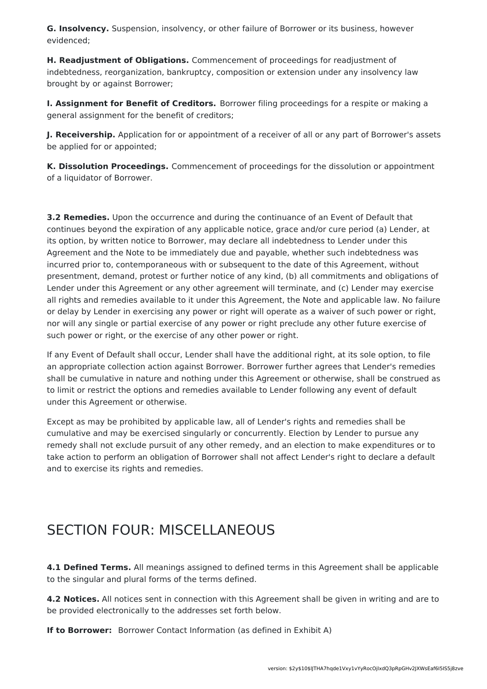**G. Insolvency.** Suspension, insolvency, or other failure of Borrower or its business, however evidenced;

**H. Readjustment of Obligations.** Commencement of proceedings for readjustment of indebtedness, reorganization, bankruptcy, composition or extension under any insolvency law brought by or against Borrower;

**I. Assignment for Benefit of Creditors.** Borrower filing proceedings for a respite or making a general assignment for the benefit of creditors;

**J. Receivership.** Application for or appointment of a receiver of all or any part of Borrower's assets be applied for or appointed;

**K. Dissolution Proceedings.** Commencement of proceedings for the dissolution or appointment of a liquidator of Borrower.

**3.2 Remedies.** Upon the occurrence and during the continuance of an Event of Default that continues beyond the expiration of any applicable notice, grace and/or cure period (a) Lender, at its option, by written notice to Borrower, may declare all indebtedness to Lender under this Agreement and the Note to be immediately due and payable, whether such indebtedness was incurred prior to, contemporaneous with or subsequent to the date of this Agreement, without presentment, demand, protest or further notice of any kind, (b) all commitments and obligations of Lender under this Agreement or any other agreement will terminate, and (c) Lender may exercise all rights and remedies available to it under this Agreement, the Note and applicable law. No failure or delay by Lender in exercising any power or right will operate as a waiver of such power or right, nor will any single or partial exercise of any power or right preclude any other future exercise of such power or right, or the exercise of any other power or right.

If any Event of Default shall occur, Lender shall have the additional right, at its sole option, to file an appropriate collection action against Borrower. Borrower further agrees that Lender's remedies shall be cumulative in nature and nothing under this Agreement or otherwise, shall be construed as to limit or restrict the options and remedies available to Lender following any event of default under this Agreement or otherwise.

Except as may be prohibited by applicable law, all of Lender's rights and remedies shall be cumulative and may be exercised singularly or concurrently. Election by Lender to pursue any remedy shall not exclude pursuit of any other remedy, and an election to make expenditures or to take action to perform an obligation of Borrower shall not affect Lender's right to declare a default and to exercise its rights and remedies.

# SECTION FOUR: MISCELLANEOUS

**4.1 Defined Terms.** All meanings assigned to defined terms in this Agreement shall be applicable to the singular and plural forms of the terms defined.

**4.2 Notices.** All notices sent in connection with this Agreement shall be given in writing and are to be provided electronically to the addresses set forth below.

**If to Borrower:** Borrower Contact Information (as defined in Exhibit A)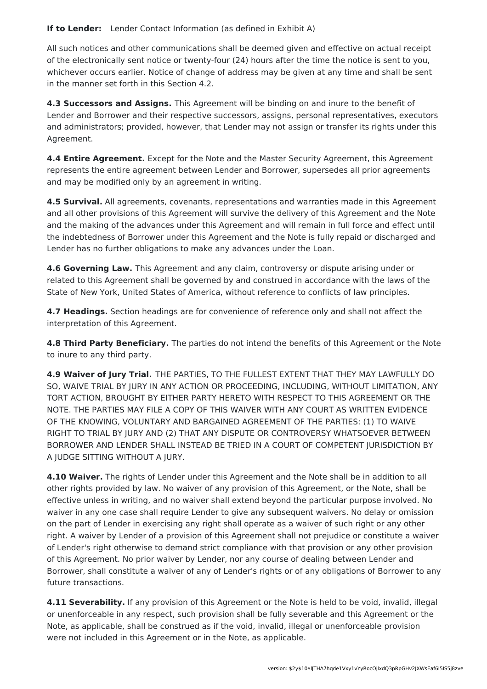**If to Lender:** Lender Contact Information (as defined in Exhibit A)

All such notices and other communications shall be deemed given and effective on actual receipt of the electronically sent notice or twenty-four (24) hours after the time the notice is sent to you, whichever occurs earlier. Notice of change of address may be given at any time and shall be sent in the manner set forth in this Section 4.2.

**4.3 Successors and Assigns.** This Agreement will be binding on and inure to the benefit of Lender and Borrower and their respective successors, assigns, personal representatives, executors and administrators; provided, however, that Lender may not assign or transfer its rights under this Agreement.

**4.4 Entire Agreement.** Except for the Note and the Master Security Agreement, this Agreement represents the entire agreement between Lender and Borrower, supersedes all prior agreements and may be modified only by an agreement in writing.

**4.5 Survival.** All agreements, covenants, representations and warranties made in this Agreement and all other provisions of this Agreement will survive the delivery of this Agreement and the Note and the making of the advances under this Agreement and will remain in full force and effect until the indebtedness of Borrower under this Agreement and the Note is fully repaid or discharged and Lender has no further obligations to make any advances under the Loan.

**4.6 Governing Law.** This Agreement and any claim, controversy or dispute arising under or related to this Agreement shall be governed by and construed in accordance with the laws of the State of New York, United States of America, without reference to conflicts of law principles.

**4.7 Headings.** Section headings are for convenience of reference only and shall not affect the interpretation of this Agreement.

**4.8 Third Party Beneficiary.** The parties do not intend the benefits of this Agreement or the Note to inure to any third party.

**4.9 Waiver of Jury Trial.** THE PARTIES, TO THE FULLEST EXTENT THAT THEY MAY LAWFULLY DO SO, WAIVE TRIAL BY JURY IN ANY ACTION OR PROCEEDING, INCLUDING, WITHOUT LIMITATION, ANY TORT ACTION, BROUGHT BY EITHER PARTY HERETO WITH RESPECT TO THIS AGREEMENT OR THE NOTE. THE PARTIES MAY FILE A COPY OF THIS WAIVER WITH ANY COURT AS WRITTEN EVIDENCE OF THE KNOWING, VOLUNTARY AND BARGAINED AGREEMENT OF THE PARTIES: (1) TO WAIVE RIGHT TO TRIAL BY JURY AND (2) THAT ANY DISPUTE OR CONTROVERSY WHATSOEVER BETWEEN BORROWER AND LENDER SHALL INSTEAD BE TRIED IN A COURT OF COMPETENT JURISDICTION BY A JUDGE SITTING WITHOUT A JURY.

**4.10 Waiver.** The rights of Lender under this Agreement and the Note shall be in addition to all other rights provided by law. No waiver of any provision of this Agreement, or the Note, shall be effective unless in writing, and no waiver shall extend beyond the particular purpose involved. No waiver in any one case shall require Lender to give any subsequent waivers. No delay or omission on the part of Lender in exercising any right shall operate as a waiver of such right or any other right. A waiver by Lender of a provision of this Agreement shall not prejudice or constitute a waiver of Lender's right otherwise to demand strict compliance with that provision or any other provision of this Agreement. No prior waiver by Lender, nor any course of dealing between Lender and Borrower, shall constitute a waiver of any of Lender's rights or of any obligations of Borrower to any future transactions.

**4.11 Severability.** If any provision of this Agreement or the Note is held to be void, invalid, illegal or unenforceable in any respect, such provision shall be fully severable and this Agreement or the Note, as applicable, shall be construed as if the void, invalid, illegal or unenforceable provision were not included in this Agreement or in the Note, as applicable.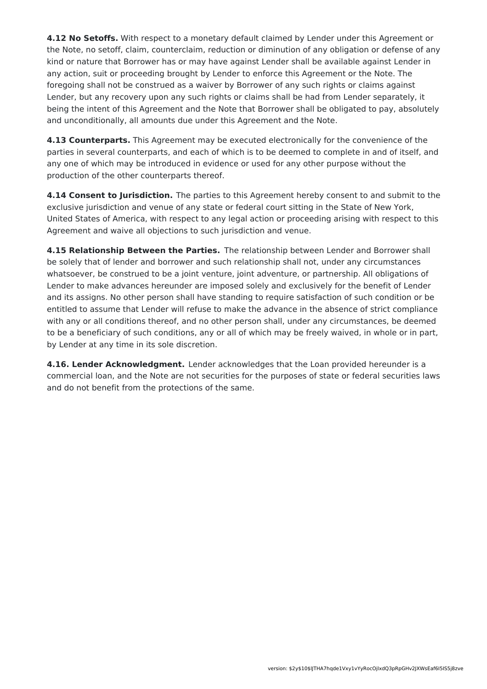**4.12 No Setoffs.** With respect to a monetary default claimed by Lender under this Agreement or the Note, no setoff, claim, counterclaim, reduction or diminution of any obligation or defense of any kind or nature that Borrower has or may have against Lender shall be available against Lender in any action, suit or proceeding brought by Lender to enforce this Agreement or the Note. The foregoing shall not be construed as a waiver by Borrower of any such rights or claims against Lender, but any recovery upon any such rights or claims shall be had from Lender separately, it being the intent of this Agreement and the Note that Borrower shall be obligated to pay, absolutely and unconditionally, all amounts due under this Agreement and the Note.

**4.13 Counterparts.** This Agreement may be executed electronically for the convenience of the parties in several counterparts, and each of which is to be deemed to complete in and of itself, and any one of which may be introduced in evidence or used for any other purpose without the production of the other counterparts thereof.

**4.14 Consent to Jurisdiction.** The parties to this Agreement hereby consent to and submit to the exclusive jurisdiction and venue of any state or federal court sitting in the State of New York, United States of America, with respect to any legal action or proceeding arising with respect to this Agreement and waive all objections to such jurisdiction and venue.

**4.15 Relationship Between the Parties.** The relationship between Lender and Borrower shall be solely that of lender and borrower and such relationship shall not, under any circumstances whatsoever, be construed to be a joint venture, joint adventure, or partnership. All obligations of Lender to make advances hereunder are imposed solely and exclusively for the benefit of Lender and its assigns. No other person shall have standing to require satisfaction of such condition or be entitled to assume that Lender will refuse to make the advance in the absence of strict compliance with any or all conditions thereof, and no other person shall, under any circumstances, be deemed to be a beneficiary of such conditions, any or all of which may be freely waived, in whole or in part, by Lender at any time in its sole discretion.

**4.16. Lender Acknowledgment.** Lender acknowledges that the Loan provided hereunder is a commercial loan, and the Note are not securities for the purposes of state or federal securities laws and do not benefit from the protections of the same.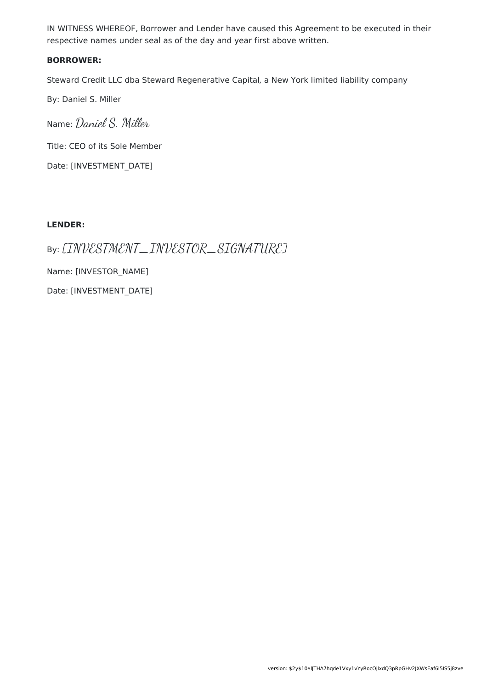IN WITNESS WHEREOF, Borrower and Lender have caused this Agreement to be executed in their respective names under seal as of the day and year first above written.

#### **BORROWER:**

Steward Credit LLC dba Steward Regenerative Capital, a New York limited liability company

By: Daniel S. Miller

Name: Daniel S. Miller Title: CEO of its Sole Member Date: [INVESTMENT\_DATE]

#### **LENDER:**

By: [INVESTMENT\_INVESTOR\_SIGNATURE] Name: [INVESTOR\_NAME] Date: [INVESTMENT\_DATE]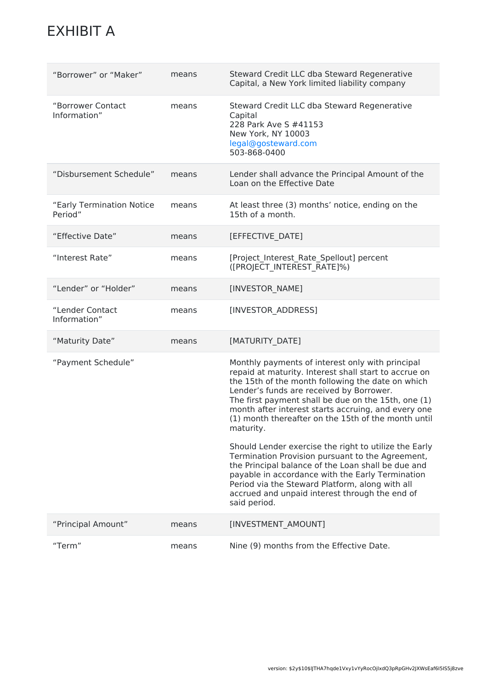# EXHIBIT A

| "Borrower" or "Maker"                | means | Steward Credit LLC dba Steward Regenerative<br>Capital, a New York limited liability company                                                                                                                                                                                                                                                                                                                                                                                                                                                                                                                                                                                                                                             |
|--------------------------------------|-------|------------------------------------------------------------------------------------------------------------------------------------------------------------------------------------------------------------------------------------------------------------------------------------------------------------------------------------------------------------------------------------------------------------------------------------------------------------------------------------------------------------------------------------------------------------------------------------------------------------------------------------------------------------------------------------------------------------------------------------------|
| "Borrower Contact<br>Information"    | means | Steward Credit LLC dba Steward Regenerative<br>Capital<br>228 Park Ave S #41153<br>New York, NY 10003<br>legal@gosteward.com<br>503-868-0400                                                                                                                                                                                                                                                                                                                                                                                                                                                                                                                                                                                             |
| "Disbursement Schedule"              | means | Lender shall advance the Principal Amount of the<br>Loan on the Effective Date                                                                                                                                                                                                                                                                                                                                                                                                                                                                                                                                                                                                                                                           |
| "Early Termination Notice<br>Period" | means | At least three (3) months' notice, ending on the<br>15th of a month.                                                                                                                                                                                                                                                                                                                                                                                                                                                                                                                                                                                                                                                                     |
| "Effective Date"                     | means | [EFFECTIVE_DATE]                                                                                                                                                                                                                                                                                                                                                                                                                                                                                                                                                                                                                                                                                                                         |
| "Interest Rate"                      | means | [Project Interest Rate Spellout] percent<br>([PROJECT INTEREST RATE]%)                                                                                                                                                                                                                                                                                                                                                                                                                                                                                                                                                                                                                                                                   |
| "Lender" or "Holder"                 | means | [INVESTOR NAME]                                                                                                                                                                                                                                                                                                                                                                                                                                                                                                                                                                                                                                                                                                                          |
| "Lender Contact<br>Information"      | means | [INVESTOR ADDRESS]                                                                                                                                                                                                                                                                                                                                                                                                                                                                                                                                                                                                                                                                                                                       |
| "Maturity Date"                      | means | [MATURITY_DATE]                                                                                                                                                                                                                                                                                                                                                                                                                                                                                                                                                                                                                                                                                                                          |
| "Payment Schedule"                   |       | Monthly payments of interest only with principal<br>repaid at maturity. Interest shall start to accrue on<br>the 15th of the month following the date on which<br>Lender's funds are received by Borrower.<br>The first payment shall be due on the 15th, one (1)<br>month after interest starts accruing, and every one<br>(1) month thereafter on the 15th of the month until<br>maturity.<br>Should Lender exercise the right to utilize the Early<br>Termination Provision pursuant to the Agreement,<br>the Principal balance of the Loan shall be due and<br>payable in accordance with the Early Termination<br>Period via the Steward Platform, along with all<br>accrued and unpaid interest through the end of<br>said period. |
| "Principal Amount"                   | means | [INVESTMENT_AMOUNT]                                                                                                                                                                                                                                                                                                                                                                                                                                                                                                                                                                                                                                                                                                                      |
| "Term"                               | means | Nine (9) months from the Effective Date.                                                                                                                                                                                                                                                                                                                                                                                                                                                                                                                                                                                                                                                                                                 |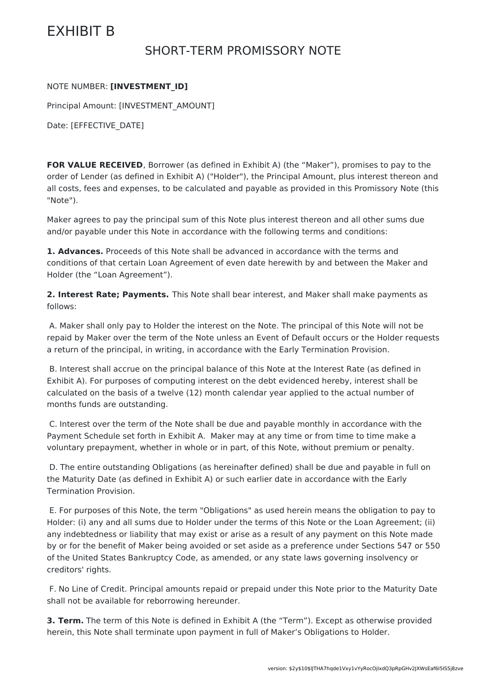# EXHIBIT B

### SHORT-TERM PROMISSORY NOTE

#### NOTE NUMBER: **[INVESTMENT\_ID]**

Principal Amount: [INVESTMENT\_AMOUNT]

Date: [EFFECTIVE\_DATE]

**FOR VALUE RECEIVED**, Borrower (as defined in Exhibit A) (the "Maker"), promises to pay to the order of Lender (as defined in Exhibit A) ("Holder"), the Principal Amount, plus interest thereon and all costs, fees and expenses, to be calculated and payable as provided in this Promissory Note (this "Note").

Maker agrees to pay the principal sum of this Note plus interest thereon and all other sums due and/or payable under this Note in accordance with the following terms and conditions:

**1. Advances.** Proceeds of this Note shall be advanced in accordance with the terms and conditions of that certain Loan Agreement of even date herewith by and between the Maker and Holder (the "Loan Agreement").

**2. Interest Rate; Payments.** This Note shall bear interest, and Maker shall make payments as follows:

A. Maker shall only pay to Holder the interest on the Note. The principal of this Note will not be repaid by Maker over the term of the Note unless an Event of Default occurs or the Holder requests a return of the principal, in writing, in accordance with the Early Termination Provision.

B. Interest shall accrue on the principal balance of this Note at the Interest Rate (as defined in Exhibit A). For purposes of computing interest on the debt evidenced hereby, interest shall be calculated on the basis of a twelve (12) month calendar year applied to the actual number of months funds are outstanding.

C. Interest over the term of the Note shall be due and payable monthly in accordance with the Payment Schedule set forth in Exhibit A. Maker may at any time or from time to time make a voluntary prepayment, whether in whole or in part, of this Note, without premium or penalty.

D. The entire outstanding Obligations (as hereinafter defined) shall be due and payable in full on the Maturity Date (as defined in Exhibit A) or such earlier date in accordance with the Early Termination Provision.

E. For purposes of this Note, the term "Obligations" as used herein means the obligation to pay to Holder: (i) any and all sums due to Holder under the terms of this Note or the Loan Agreement; (ii) any indebtedness or liability that may exist or arise as a result of any payment on this Note made by or for the benefit of Maker being avoided or set aside as a preference under Sections 547 or 550 of the United States Bankruptcy Code, as amended, or any state laws governing insolvency or creditors' rights.

F. No Line of Credit. Principal amounts repaid or prepaid under this Note prior to the Maturity Date shall not be available for reborrowing hereunder.

**3. Term.** The term of this Note is defined in Exhibit A (the "Term"). Except as otherwise provided herein, this Note shall terminate upon payment in full of Maker's Obligations to Holder.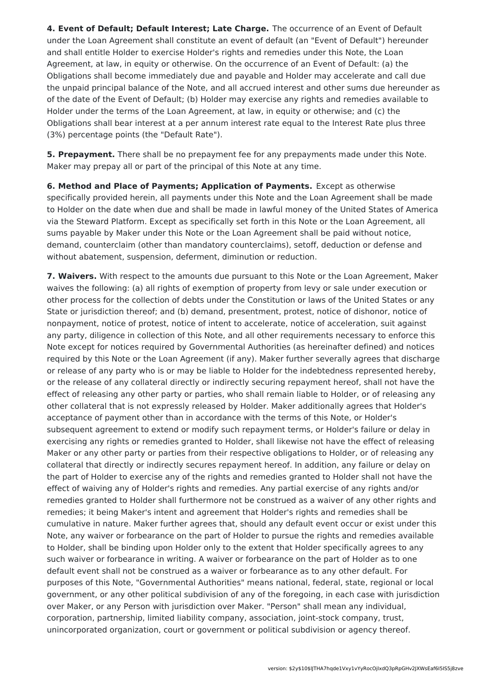**4. Event of Default; Default Interest; Late Charge.** The occurrence of an Event of Default under the Loan Agreement shall constitute an event of default (an "Event of Default") hereunder and shall entitle Holder to exercise Holder's rights and remedies under this Note, the Loan Agreement, at law, in equity or otherwise. On the occurrence of an Event of Default: (a) the Obligations shall become immediately due and payable and Holder may accelerate and call due the unpaid principal balance of the Note, and all accrued interest and other sums due hereunder as of the date of the Event of Default; (b) Holder may exercise any rights and remedies available to Holder under the terms of the Loan Agreement, at law, in equity or otherwise; and (c) the Obligations shall bear interest at a per annum interest rate equal to the Interest Rate plus three (3%) percentage points (the "Default Rate").

**5. Prepayment.** There shall be no prepayment fee for any prepayments made under this Note. Maker may prepay all or part of the principal of this Note at any time.

**6. Method and Place of Payments; Application of Payments.** Except as otherwise specifically provided herein, all payments under this Note and the Loan Agreement shall be made to Holder on the date when due and shall be made in lawful money of the United States of America via the Steward Platform. Except as specifically set forth in this Note or the Loan Agreement, all sums payable by Maker under this Note or the Loan Agreement shall be paid without notice, demand, counterclaim (other than mandatory counterclaims), setoff, deduction or defense and without abatement, suspension, deferment, diminution or reduction.

**7. Waivers.** With respect to the amounts due pursuant to this Note or the Loan Agreement, Maker waives the following: (a) all rights of exemption of property from levy or sale under execution or other process for the collection of debts under the Constitution or laws of the United States or any State or jurisdiction thereof; and (b) demand, presentment, protest, notice of dishonor, notice of nonpayment, notice of protest, notice of intent to accelerate, notice of acceleration, suit against any party, diligence in collection of this Note, and all other requirements necessary to enforce this Note except for notices required by Governmental Authorities (as hereinafter defined) and notices required by this Note or the Loan Agreement (if any). Maker further severally agrees that discharge or release of any party who is or may be liable to Holder for the indebtedness represented hereby, or the release of any collateral directly or indirectly securing repayment hereof, shall not have the effect of releasing any other party or parties, who shall remain liable to Holder, or of releasing any other collateral that is not expressly released by Holder. Maker additionally agrees that Holder's acceptance of payment other than in accordance with the terms of this Note, or Holder's subsequent agreement to extend or modify such repayment terms, or Holder's failure or delay in exercising any rights or remedies granted to Holder, shall likewise not have the effect of releasing Maker or any other party or parties from their respective obligations to Holder, or of releasing any collateral that directly or indirectly secures repayment hereof. In addition, any failure or delay on the part of Holder to exercise any of the rights and remedies granted to Holder shall not have the effect of waiving any of Holder's rights and remedies. Any partial exercise of any rights and/or remedies granted to Holder shall furthermore not be construed as a waiver of any other rights and remedies; it being Maker's intent and agreement that Holder's rights and remedies shall be cumulative in nature. Maker further agrees that, should any default event occur or exist under this Note, any waiver or forbearance on the part of Holder to pursue the rights and remedies available to Holder, shall be binding upon Holder only to the extent that Holder specifically agrees to any such waiver or forbearance in writing. A waiver or forbearance on the part of Holder as to one default event shall not be construed as a waiver or forbearance as to any other default. For purposes of this Note, "Governmental Authorities" means national, federal, state, regional or local government, or any other political subdivision of any of the foregoing, in each case with jurisdiction over Maker, or any Person with jurisdiction over Maker. "Person" shall mean any individual, corporation, partnership, limited liability company, association, joint-stock company, trust, unincorporated organization, court or government or political subdivision or agency thereof.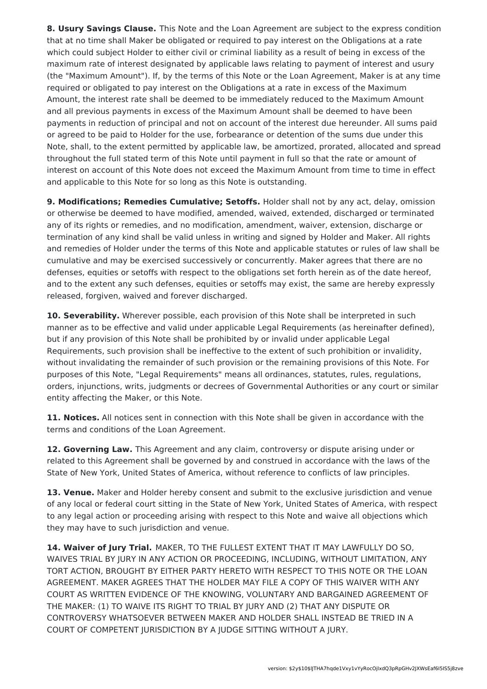**8. Usury Savings Clause.** This Note and the Loan Agreement are subject to the express condition that at no time shall Maker be obligated or required to pay interest on the Obligations at a rate which could subject Holder to either civil or criminal liability as a result of being in excess of the maximum rate of interest designated by applicable laws relating to payment of interest and usury (the "Maximum Amount"). If, by the terms of this Note or the Loan Agreement, Maker is at any time required or obligated to pay interest on the Obligations at a rate in excess of the Maximum Amount, the interest rate shall be deemed to be immediately reduced to the Maximum Amount and all previous payments in excess of the Maximum Amount shall be deemed to have been payments in reduction of principal and not on account of the interest due hereunder. All sums paid or agreed to be paid to Holder for the use, forbearance or detention of the sums due under this Note, shall, to the extent permitted by applicable law, be amortized, prorated, allocated and spread throughout the full stated term of this Note until payment in full so that the rate or amount of interest on account of this Note does not exceed the Maximum Amount from time to time in effect and applicable to this Note for so long as this Note is outstanding.

**9. Modifications; Remedies Cumulative; Setoffs.** Holder shall not by any act, delay, omission or otherwise be deemed to have modified, amended, waived, extended, discharged or terminated any of its rights or remedies, and no modification, amendment, waiver, extension, discharge or termination of any kind shall be valid unless in writing and signed by Holder and Maker. All rights and remedies of Holder under the terms of this Note and applicable statutes or rules of law shall be cumulative and may be exercised successively or concurrently. Maker agrees that there are no defenses, equities or setoffs with respect to the obligations set forth herein as of the date hereof, and to the extent any such defenses, equities or setoffs may exist, the same are hereby expressly released, forgiven, waived and forever discharged.

**10. Severability.** Wherever possible, each provision of this Note shall be interpreted in such manner as to be effective and valid under applicable Legal Requirements (as hereinafter defined), but if any provision of this Note shall be prohibited by or invalid under applicable Legal Requirements, such provision shall be ineffective to the extent of such prohibition or invalidity, without invalidating the remainder of such provision or the remaining provisions of this Note. For purposes of this Note, "Legal Requirements" means all ordinances, statutes, rules, regulations, orders, injunctions, writs, judgments or decrees of Governmental Authorities or any court or similar entity affecting the Maker, or this Note.

**11. Notices.** All notices sent in connection with this Note shall be given in accordance with the terms and conditions of the Loan Agreement.

**12. Governing Law.** This Agreement and any claim, controversy or dispute arising under or related to this Agreement shall be governed by and construed in accordance with the laws of the State of New York, United States of America, without reference to conflicts of law principles.

**13. Venue.** Maker and Holder hereby consent and submit to the exclusive jurisdiction and venue of any local or federal court sitting in the State of New York, United States of America, with respect to any legal action or proceeding arising with respect to this Note and waive all objections which they may have to such jurisdiction and venue.

**14. Waiver of Jury Trial.** MAKER, TO THE FULLEST EXTENT THAT IT MAY LAWFULLY DO SO, WAIVES TRIAL BY JURY IN ANY ACTION OR PROCEEDING, INCLUDING, WITHOUT LIMITATION, ANY TORT ACTION, BROUGHT BY EITHER PARTY HERETO WITH RESPECT TO THIS NOTE OR THE LOAN AGREEMENT. MAKER AGREES THAT THE HOLDER MAY FILE A COPY OF THIS WAIVER WITH ANY COURT AS WRITTEN EVIDENCE OF THE KNOWING, VOLUNTARY AND BARGAINED AGREEMENT OF THE MAKER: (1) TO WAIVE ITS RIGHT TO TRIAL BY JURY AND (2) THAT ANY DISPUTE OR CONTROVERSY WHATSOEVER BETWEEN MAKER AND HOLDER SHALL INSTEAD BE TRIED IN A COURT OF COMPETENT JURISDICTION BY A JUDGE SITTING WITHOUT A JURY.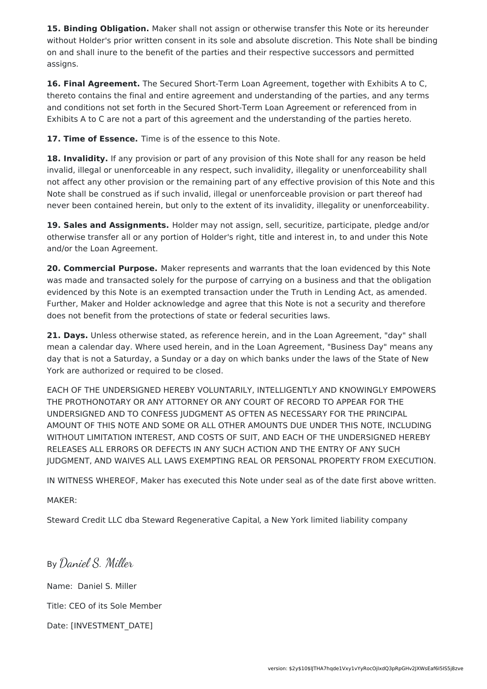**15. Binding Obligation.** Maker shall not assign or otherwise transfer this Note or its hereunder without Holder's prior written consent in its sole and absolute discretion. This Note shall be binding on and shall inure to the benefit of the parties and their respective successors and permitted assigns.

**16. Final Agreement.** The Secured Short-Term Loan Agreement, together with Exhibits A to C, thereto contains the final and entire agreement and understanding of the parties, and any terms and conditions not set forth in the Secured Short-Term Loan Agreement or referenced from in Exhibits A to C are not a part of this agreement and the understanding of the parties hereto.

**17. Time of Essence.** Time is of the essence to this Note.

**18. Invalidity.** If any provision or part of any provision of this Note shall for any reason be held invalid, illegal or unenforceable in any respect, such invalidity, illegality or unenforceability shall not affect any other provision or the remaining part of any effective provision of this Note and this Note shall be construed as if such invalid, illegal or unenforceable provision or part thereof had never been contained herein, but only to the extent of its invalidity, illegality or unenforceability.

**19. Sales and Assignments.** Holder may not assign, sell, securitize, participate, pledge and/or otherwise transfer all or any portion of Holder's right, title and interest in, to and under this Note and/or the Loan Agreement.

**20. Commercial Purpose.** Maker represents and warrants that the loan evidenced by this Note was made and transacted solely for the purpose of carrying on a business and that the obligation evidenced by this Note is an exempted transaction under the Truth in Lending Act, as amended. Further, Maker and Holder acknowledge and agree that this Note is not a security and therefore does not benefit from the protections of state or federal securities laws.

**21. Days.** Unless otherwise stated, as reference herein, and in the Loan Agreement, "day" shall mean a calendar day. Where used herein, and in the Loan Agreement, "Business Day" means any day that is not a Saturday, a Sunday or a day on which banks under the laws of the State of New York are authorized or required to be closed.

EACH OF THE UNDERSIGNED HEREBY VOLUNTARILY, INTELLIGENTLY AND KNOWINGLY EMPOWERS THE PROTHONOTARY OR ANY ATTORNEY OR ANY COURT OF RECORD TO APPEAR FOR THE UNDERSIGNED AND TO CONFESS JUDGMENT AS OFTEN AS NECESSARY FOR THE PRINCIPAL AMOUNT OF THIS NOTE AND SOME OR ALL OTHER AMOUNTS DUE UNDER THIS NOTE, INCLUDING WITHOUT LIMITATION INTEREST, AND COSTS OF SUIT, AND EACH OF THE UNDERSIGNED HEREBY RELEASES ALL ERRORS OR DEFECTS IN ANY SUCH ACTION AND THE ENTRY OF ANY SUCH JUDGMENT, AND WAIVES ALL LAWS EXEMPTING REAL OR PERSONAL PROPERTY FROM EXECUTION.

IN WITNESS WHEREOF, Maker has executed this Note under seal as of the date first above written.

MAKER:

Steward Credit LLC dba Steward Regenerative Capital, a New York limited liability company

By Daniel S. Miller Name: Daniel S. Miller Title: CEO of its Sole Member Date: [INVESTMENT\_DATE]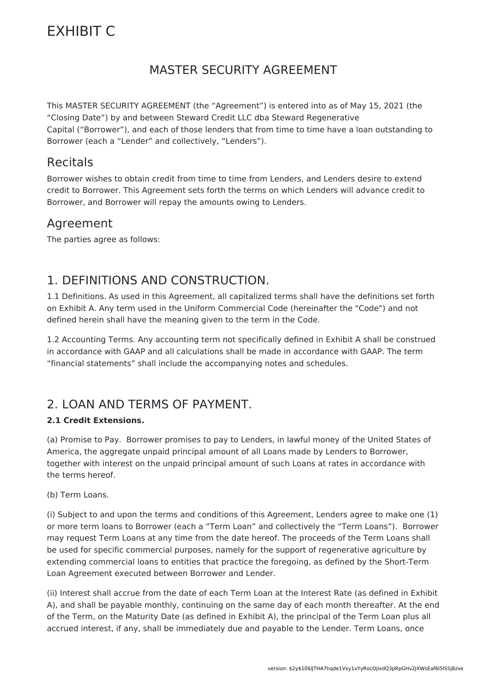# EXHIBIT C

## MASTER SECURITY AGREEMENT

This MASTER SECURITY AGREEMENT (the "Agreement") is entered into as of May 15, 2021 (the "Closing Date") by and between Steward Credit LLC dba Steward Regenerative Capital ("Borrower"), and each of those lenders that from time to time have a loan outstanding to Borrower (each a "Lender" and collectively, "Lenders").

### Recitals

Borrower wishes to obtain credit from time to time from Lenders, and Lenders desire to extend credit to Borrower. This Agreement sets forth the terms on which Lenders will advance credit to Borrower, and Borrower will repay the amounts owing to Lenders.

### Agreement

The parties agree as follows:

### 1. DEFINITIONS AND CONSTRUCTION.

1.1 Definitions. As used in this Agreement, all capitalized terms shall have the definitions set forth on Exhibit A. Any term used in the Uniform Commercial Code (hereinafter the "Code") and not defined herein shall have the meaning given to the term in the Code.

1.2 Accounting Terms. Any accounting term not specifically defined in Exhibit A shall be construed in accordance with GAAP and all calculations shall be made in accordance with GAAP. The term "financial statements" shall include the accompanying notes and schedules.

### 2. LOAN AND TERMS OF PAYMENT.

#### **2.1 Credit Extensions.**

(a) Promise to Pay. Borrower promises to pay to Lenders, in lawful money of the United States of America, the aggregate unpaid principal amount of all Loans made by Lenders to Borrower, together with interest on the unpaid principal amount of such Loans at rates in accordance with the terms hereof.

(b) Term Loans.

(i) Subject to and upon the terms and conditions of this Agreement, Lenders agree to make one (1) or more term loans to Borrower (each a "Term Loan" and collectively the "Term Loans"). Borrower may request Term Loans at any time from the date hereof. The proceeds of the Term Loans shall be used for specific commercial purposes, namely for the support of regenerative agriculture by extending commercial loans to entities that practice the foregoing, as defined by the Short-Term Loan Agreement executed between Borrower and Lender.

(ii) Interest shall accrue from the date of each Term Loan at the Interest Rate (as defined in Exhibit A), and shall be payable monthly, continuing on the same day of each month thereafter. At the end of the Term, on the Maturity Date (as defined in Exhibit A), the principal of the Term Loan plus all accrued interest, if any, shall be immediately due and payable to the Lender. Term Loans, once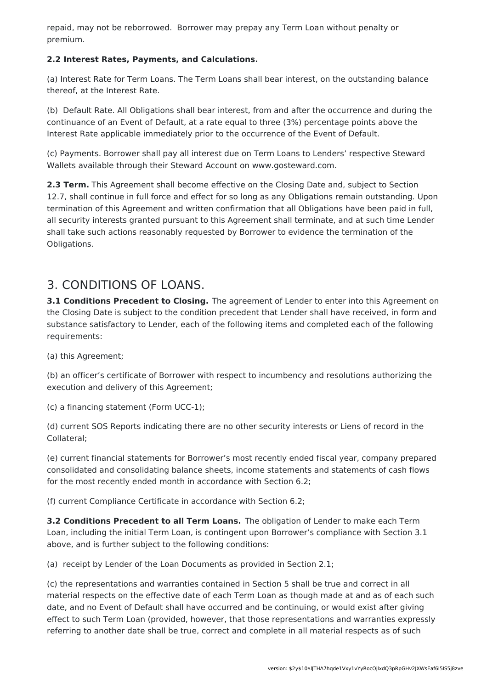repaid, may not be reborrowed. Borrower may prepay any Term Loan without penalty or premium.

#### **2.2 Interest Rates, Payments, and Calculations.**

(a) Interest Rate for Term Loans. The Term Loans shall bear interest, on the outstanding balance thereof, at the Interest Rate.

(b) Default Rate. All Obligations shall bear interest, from and after the occurrence and during the continuance of an Event of Default, at a rate equal to three (3%) percentage points above the Interest Rate applicable immediately prior to the occurrence of the Event of Default.

(c) Payments. Borrower shall pay all interest due on Term Loans to Lenders' respective Steward Wallets available through their Steward Account on www.gosteward.com.

**2.3 Term.** This Agreement shall become effective on the Closing Date and, subject to Section 12.7, shall continue in full force and effect for so long as any Obligations remain outstanding. Upon termination of this Agreement and written confirmation that all Obligations have been paid in full, all security interests granted pursuant to this Agreement shall terminate, and at such time Lender shall take such actions reasonably requested by Borrower to evidence the termination of the Obligations.

## 3. CONDITIONS OF LOANS.

**3.1 Conditions Precedent to Closing.** The agreement of Lender to enter into this Agreement on the Closing Date is subject to the condition precedent that Lender shall have received, in form and substance satisfactory to Lender, each of the following items and completed each of the following requirements:

(a) this Agreement;

(b) an officer's certificate of Borrower with respect to incumbency and resolutions authorizing the execution and delivery of this Agreement;

(c) a financing statement (Form UCC-1);

(d) current SOS Reports indicating there are no other security interests or Liens of record in the Collateral;

(e) current financial statements for Borrower's most recently ended fiscal year, company prepared consolidated and consolidating balance sheets, income statements and statements of cash flows for the most recently ended month in accordance with Section 6.2;

(f) current Compliance Certificate in accordance with Section 6.2;

**3.2 Conditions Precedent to all Term Loans.** The obligation of Lender to make each Term Loan, including the initial Term Loan, is contingent upon Borrower's compliance with Section 3.1 above, and is further subject to the following conditions:

(a) receipt by Lender of the Loan Documents as provided in Section 2.1;

(c) the representations and warranties contained in Section 5 shall be true and correct in all material respects on the effective date of each Term Loan as though made at and as of each such date, and no Event of Default shall have occurred and be continuing, or would exist after giving effect to such Term Loan (provided, however, that those representations and warranties expressly referring to another date shall be true, correct and complete in all material respects as of such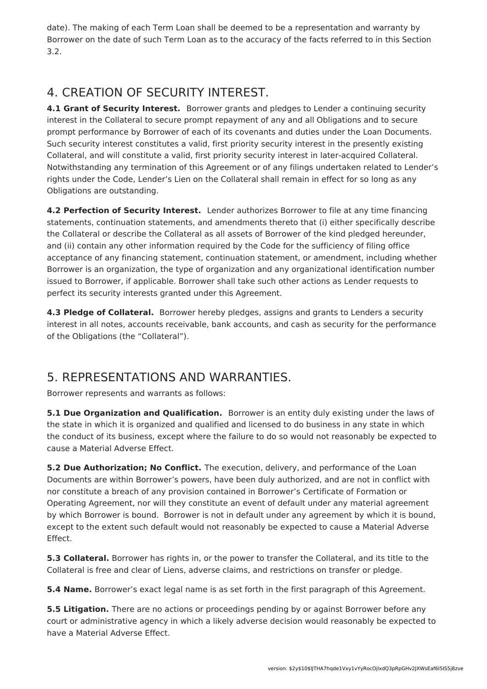date). The making of each Term Loan shall be deemed to be a representation and warranty by Borrower on the date of such Term Loan as to the accuracy of the facts referred to in this Section 3.2.

## 4. CREATION OF SECURITY INTEREST.

**4.1 Grant of Security Interest.** Borrower grants and pledges to Lender a continuing security interest in the Collateral to secure prompt repayment of any and all Obligations and to secure prompt performance by Borrower of each of its covenants and duties under the Loan Documents. Such security interest constitutes a valid, first priority security interest in the presently existing Collateral, and will constitute a valid, first priority security interest in later-acquired Collateral. Notwithstanding any termination of this Agreement or of any filings undertaken related to Lender's rights under the Code, Lender's Lien on the Collateral shall remain in effect for so long as any Obligations are outstanding.

**4.2 Perfection of Security Interest.** Lender authorizes Borrower to file at any time financing statements, continuation statements, and amendments thereto that (i) either specifically describe the Collateral or describe the Collateral as all assets of Borrower of the kind pledged hereunder, and (ii) contain any other information required by the Code for the sufficiency of filing office acceptance of any financing statement, continuation statement, or amendment, including whether Borrower is an organization, the type of organization and any organizational identification number issued to Borrower, if applicable. Borrower shall take such other actions as Lender requests to perfect its security interests granted under this Agreement.

**4.3 Pledge of Collateral.** Borrower hereby pledges, assigns and grants to Lenders a security interest in all notes, accounts receivable, bank accounts, and cash as security for the performance of the Obligations (the "Collateral").

## 5. REPRESENTATIONS AND WARRANTIES.

Borrower represents and warrants as follows:

**5.1 Due Organization and Qualification.** Borrower is an entity duly existing under the laws of the state in which it is organized and qualified and licensed to do business in any state in which the conduct of its business, except where the failure to do so would not reasonably be expected to cause a Material Adverse Effect.

**5.2 Due Authorization; No Conflict.** The execution, delivery, and performance of the Loan Documents are within Borrower's powers, have been duly authorized, and are not in conflict with nor constitute a breach of any provision contained in Borrower's Certificate of Formation or Operating Agreement, nor will they constitute an event of default under any material agreement by which Borrower is bound. Borrower is not in default under any agreement by which it is bound, except to the extent such default would not reasonably be expected to cause a Material Adverse Effect.

**5.3 Collateral.** Borrower has rights in, or the power to transfer the Collateral, and its title to the Collateral is free and clear of Liens, adverse claims, and restrictions on transfer or pledge.

**5.4 Name.** Borrower's exact legal name is as set forth in the first paragraph of this Agreement.

**5.5 Litigation.** There are no actions or proceedings pending by or against Borrower before any court or administrative agency in which a likely adverse decision would reasonably be expected to have a Material Adverse Effect.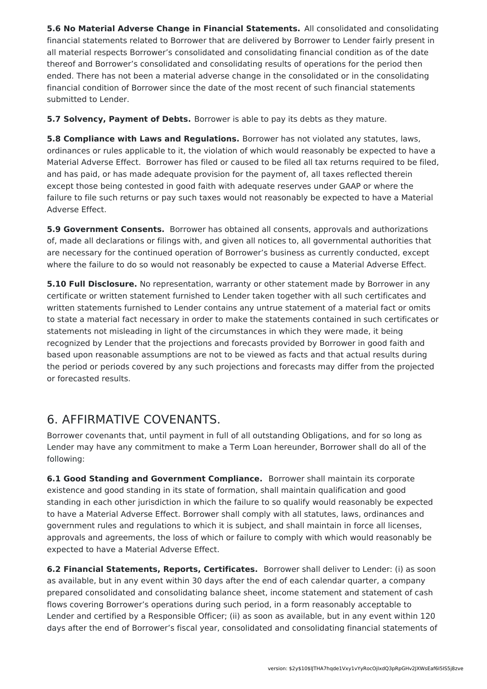**5.6 No Material Adverse Change in Financial Statements.** All consolidated and consolidating financial statements related to Borrower that are delivered by Borrower to Lender fairly present in all material respects Borrower's consolidated and consolidating financial condition as of the date thereof and Borrower's consolidated and consolidating results of operations for the period then ended. There has not been a material adverse change in the consolidated or in the consolidating financial condition of Borrower since the date of the most recent of such financial statements submitted to Lender.

**5.7 Solvency, Payment of Debts.** Borrower is able to pay its debts as they mature.

**5.8 Compliance with Laws and Regulations.** Borrower has not violated any statutes, laws, ordinances or rules applicable to it, the violation of which would reasonably be expected to have a Material Adverse Effect. Borrower has filed or caused to be filed all tax returns required to be filed, and has paid, or has made adequate provision for the payment of, all taxes reflected therein except those being contested in good faith with adequate reserves under GAAP or where the failure to file such returns or pay such taxes would not reasonably be expected to have a Material Adverse Effect.

**5.9 Government Consents.** Borrower has obtained all consents, approvals and authorizations of, made all declarations or filings with, and given all notices to, all governmental authorities that are necessary for the continued operation of Borrower's business as currently conducted, except where the failure to do so would not reasonably be expected to cause a Material Adverse Effect.

**5.10 Full Disclosure.** No representation, warranty or other statement made by Borrower in any certificate or written statement furnished to Lender taken together with all such certificates and written statements furnished to Lender contains any untrue statement of a material fact or omits to state a material fact necessary in order to make the statements contained in such certificates or statements not misleading in light of the circumstances in which they were made, it being recognized by Lender that the projections and forecasts provided by Borrower in good faith and based upon reasonable assumptions are not to be viewed as facts and that actual results during the period or periods covered by any such projections and forecasts may differ from the projected or forecasted results.

## 6. AFFIRMATIVE COVENANTS.

Borrower covenants that, until payment in full of all outstanding Obligations, and for so long as Lender may have any commitment to make a Term Loan hereunder, Borrower shall do all of the following:

**6.1 Good Standing and Government Compliance.** Borrower shall maintain its corporate existence and good standing in its state of formation, shall maintain qualification and good standing in each other jurisdiction in which the failure to so qualify would reasonably be expected to have a Material Adverse Effect. Borrower shall comply with all statutes, laws, ordinances and government rules and regulations to which it is subject, and shall maintain in force all licenses, approvals and agreements, the loss of which or failure to comply with which would reasonably be expected to have a Material Adverse Effect.

**6.2 Financial Statements, Reports, Certificates.** Borrower shall deliver to Lender: (i) as soon as available, but in any event within 30 days after the end of each calendar quarter, a company prepared consolidated and consolidating balance sheet, income statement and statement of cash flows covering Borrower's operations during such period, in a form reasonably acceptable to Lender and certified by a Responsible Officer; (ii) as soon as available, but in any event within 120 days after the end of Borrower's fiscal year, consolidated and consolidating financial statements of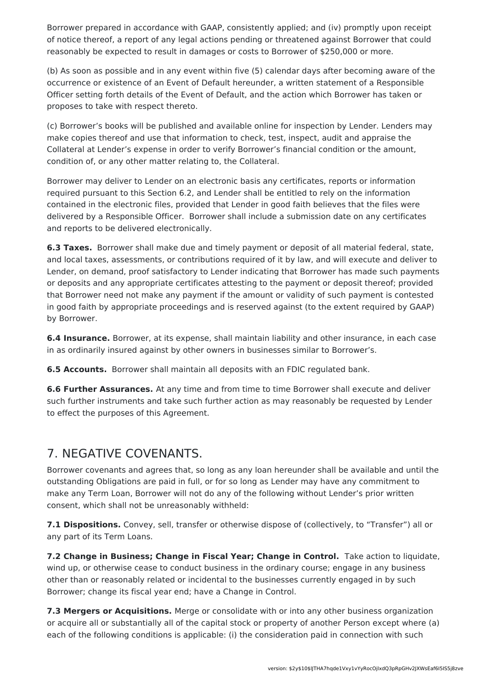Borrower prepared in accordance with GAAP, consistently applied; and (iv) promptly upon receipt of notice thereof, a report of any legal actions pending or threatened against Borrower that could reasonably be expected to result in damages or costs to Borrower of \$250,000 or more.

(b) As soon as possible and in any event within five (5) calendar days after becoming aware of the occurrence or existence of an Event of Default hereunder, a written statement of a Responsible Officer setting forth details of the Event of Default, and the action which Borrower has taken or proposes to take with respect thereto.

(c) Borrower's books will be published and available online for inspection by Lender. Lenders may make copies thereof and use that information to check, test, inspect, audit and appraise the Collateral at Lender's expense in order to verify Borrower's financial condition or the amount, condition of, or any other matter relating to, the Collateral.

Borrower may deliver to Lender on an electronic basis any certificates, reports or information required pursuant to this Section 6.2, and Lender shall be entitled to rely on the information contained in the electronic files, provided that Lender in good faith believes that the files were delivered by a Responsible Officer. Borrower shall include a submission date on any certificates and reports to be delivered electronically.

**6.3 Taxes.** Borrower shall make due and timely payment or deposit of all material federal, state, and local taxes, assessments, or contributions required of it by law, and will execute and deliver to Lender, on demand, proof satisfactory to Lender indicating that Borrower has made such payments or deposits and any appropriate certificates attesting to the payment or deposit thereof; provided that Borrower need not make any payment if the amount or validity of such payment is contested in good faith by appropriate proceedings and is reserved against (to the extent required by GAAP) by Borrower.

**6.4 Insurance.** Borrower, at its expense, shall maintain liability and other insurance, in each case in as ordinarily insured against by other owners in businesses similar to Borrower's.

**6.5 Accounts.** Borrower shall maintain all deposits with an FDIC regulated bank.

**6.6 Further Assurances.** At any time and from time to time Borrower shall execute and deliver such further instruments and take such further action as may reasonably be requested by Lender to effect the purposes of this Agreement.

### 7. NEGATIVE COVENANTS.

Borrower covenants and agrees that, so long as any loan hereunder shall be available and until the outstanding Obligations are paid in full, or for so long as Lender may have any commitment to make any Term Loan, Borrower will not do any of the following without Lender's prior written consent, which shall not be unreasonably withheld:

**7.1 Dispositions.** Convey, sell, transfer or otherwise dispose of (collectively, to "Transfer") all or any part of its Term Loans.

**7.2 Change in Business; Change in Fiscal Year; Change in Control.** Take action to liquidate, wind up, or otherwise cease to conduct business in the ordinary course; engage in any business other than or reasonably related or incidental to the businesses currently engaged in by such Borrower; change its fiscal year end; have a Change in Control.

**7.3 Mergers or Acquisitions.** Merge or consolidate with or into any other business organization or acquire all or substantially all of the capital stock or property of another Person except where (a) each of the following conditions is applicable: (i) the consideration paid in connection with such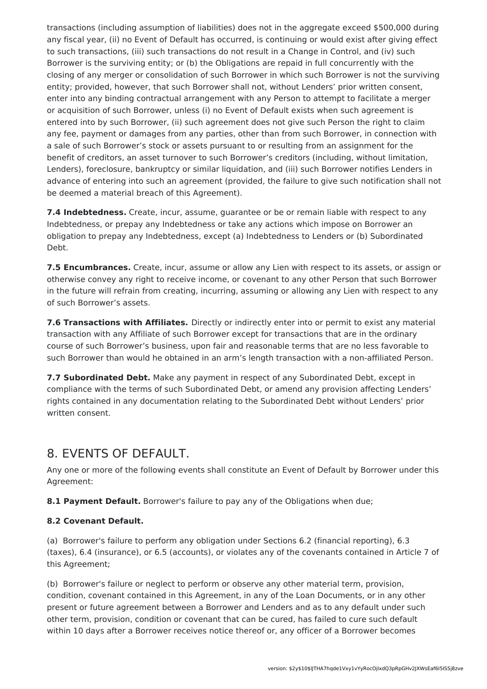transactions (including assumption of liabilities) does not in the aggregate exceed \$500,000 during any fiscal year, (ii) no Event of Default has occurred, is continuing or would exist after giving effect to such transactions, (iii) such transactions do not result in a Change in Control, and (iv) such Borrower is the surviving entity; or (b) the Obligations are repaid in full concurrently with the closing of any merger or consolidation of such Borrower in which such Borrower is not the surviving entity; provided, however, that such Borrower shall not, without Lenders' prior written consent, enter into any binding contractual arrangement with any Person to attempt to facilitate a merger or acquisition of such Borrower, unless (i) no Event of Default exists when such agreement is entered into by such Borrower, (ii) such agreement does not give such Person the right to claim any fee, payment or damages from any parties, other than from such Borrower, in connection with a sale of such Borrower's stock or assets pursuant to or resulting from an assignment for the benefit of creditors, an asset turnover to such Borrower's creditors (including, without limitation, Lenders), foreclosure, bankruptcy or similar liquidation, and (iii) such Borrower notifies Lenders in advance of entering into such an agreement (provided, the failure to give such notification shall not be deemed a material breach of this Agreement).

**7.4 Indebtedness.** Create, incur, assume, guarantee or be or remain liable with respect to any Indebtedness, or prepay any Indebtedness or take any actions which impose on Borrower an obligation to prepay any Indebtedness, except (a) Indebtedness to Lenders or (b) Subordinated Debt.

**7.5 Encumbrances.** Create, incur, assume or allow any Lien with respect to its assets, or assign or otherwise convey any right to receive income, or covenant to any other Person that such Borrower in the future will refrain from creating, incurring, assuming or allowing any Lien with respect to any of such Borrower's assets.

**7.6 Transactions with Affiliates.** Directly or indirectly enter into or permit to exist any material transaction with any Affiliate of such Borrower except for transactions that are in the ordinary course of such Borrower's business, upon fair and reasonable terms that are no less favorable to such Borrower than would he obtained in an arm's length transaction with a non-affiliated Person.

**7.7 Subordinated Debt.** Make any payment in respect of any Subordinated Debt, except in compliance with the terms of such Subordinated Debt, or amend any provision affecting Lenders' rights contained in any documentation relating to the Subordinated Debt without Lenders' prior written consent.

### 8. EVENTS OF DEFAULT.

Any one or more of the following events shall constitute an Event of Default by Borrower under this Agreement:

**8.1 Payment Default.** Borrower's failure to pay any of the Obligations when due;

#### **8.2 Covenant Default.**

(a) Borrower's failure to perform any obligation under Sections 6.2 (financial reporting), 6.3 (taxes), 6.4 (insurance), or 6.5 (accounts), or violates any of the covenants contained in Article 7 of this Agreement;

(b) Borrower's failure or neglect to perform or observe any other material term, provision, condition, covenant contained in this Agreement, in any of the Loan Documents, or in any other present or future agreement between a Borrower and Lenders and as to any default under such other term, provision, condition or covenant that can be cured, has failed to cure such default within 10 days after a Borrower receives notice thereof or, any officer of a Borrower becomes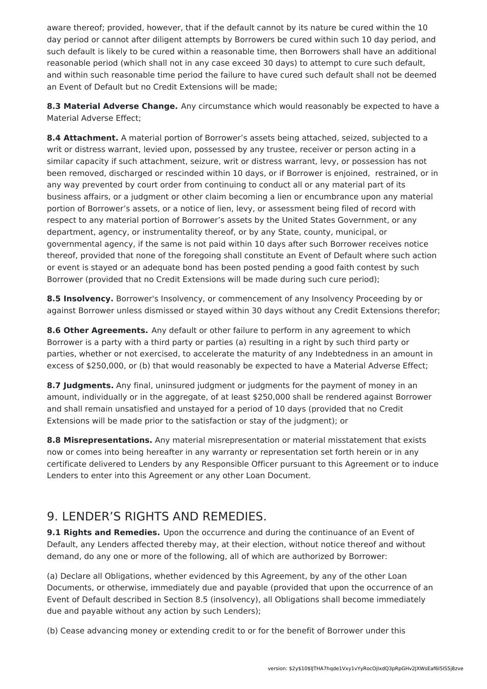aware thereof; provided, however, that if the default cannot by its nature be cured within the 10 day period or cannot after diligent attempts by Borrowers be cured within such 10 day period, and such default is likely to be cured within a reasonable time, then Borrowers shall have an additional reasonable period (which shall not in any case exceed 30 days) to attempt to cure such default, and within such reasonable time period the failure to have cured such default shall not be deemed an Event of Default but no Credit Extensions will be made;

**8.3 Material Adverse Change.** Any circumstance which would reasonably be expected to have a Material Adverse Effect;

**8.4 Attachment.** A material portion of Borrower's assets being attached, seized, subjected to a writ or distress warrant, levied upon, possessed by any trustee, receiver or person acting in a similar capacity if such attachment, seizure, writ or distress warrant, levy, or possession has not been removed, discharged or rescinded within 10 days, or if Borrower is enjoined, restrained, or in any way prevented by court order from continuing to conduct all or any material part of its business affairs, or a judgment or other claim becoming a lien or encumbrance upon any material portion of Borrower's assets, or a notice of lien, levy, or assessment being filed of record with respect to any material portion of Borrower's assets by the United States Government, or any department, agency, or instrumentality thereof, or by any State, county, municipal, or governmental agency, if the same is not paid within 10 days after such Borrower receives notice thereof, provided that none of the foregoing shall constitute an Event of Default where such action or event is stayed or an adequate bond has been posted pending a good faith contest by such Borrower (provided that no Credit Extensions will be made during such cure period);

**8.5 Insolvency.** Borrower's Insolvency, or commencement of any Insolvency Proceeding by or against Borrower unless dismissed or stayed within 30 days without any Credit Extensions therefor;

**8.6 Other Agreements.** Any default or other failure to perform in any agreement to which Borrower is a party with a third party or parties (a) resulting in a right by such third party or parties, whether or not exercised, to accelerate the maturity of any Indebtedness in an amount in excess of \$250,000, or (b) that would reasonably be expected to have a Material Adverse Effect;

**8.7 Judgments.** Any final, uninsured judgment or judgments for the payment of money in an amount, individually or in the aggregate, of at least \$250,000 shall be rendered against Borrower and shall remain unsatisfied and unstayed for a period of 10 days (provided that no Credit Extensions will be made prior to the satisfaction or stay of the judgment); or

**8.8 Misrepresentations.** Any material misrepresentation or material misstatement that exists now or comes into being hereafter in any warranty or representation set forth herein or in any certificate delivered to Lenders by any Responsible Officer pursuant to this Agreement or to induce Lenders to enter into this Agreement or any other Loan Document.

### 9. LENDER'S RIGHTS AND REMEDIES.

**9.1 Rights and Remedies.** Upon the occurrence and during the continuance of an Event of Default, any Lenders affected thereby may, at their election, without notice thereof and without demand, do any one or more of the following, all of which are authorized by Borrower:

(a) Declare all Obligations, whether evidenced by this Agreement, by any of the other Loan Documents, or otherwise, immediately due and payable (provided that upon the occurrence of an Event of Default described in Section 8.5 (insolvency), all Obligations shall become immediately due and payable without any action by such Lenders);

(b) Cease advancing money or extending credit to or for the benefit of Borrower under this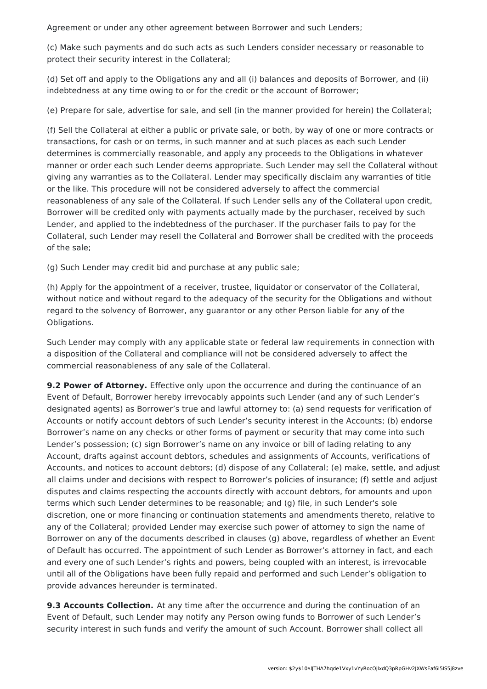Agreement or under any other agreement between Borrower and such Lenders;

(c) Make such payments and do such acts as such Lenders consider necessary or reasonable to protect their security interest in the Collateral;

(d) Set off and apply to the Obligations any and all (i) balances and deposits of Borrower, and (ii) indebtedness at any time owing to or for the credit or the account of Borrower;

(e) Prepare for sale, advertise for sale, and sell (in the manner provided for herein) the Collateral;

(f) Sell the Collateral at either a public or private sale, or both, by way of one or more contracts or transactions, for cash or on terms, in such manner and at such places as each such Lender determines is commercially reasonable, and apply any proceeds to the Obligations in whatever manner or order each such Lender deems appropriate. Such Lender may sell the Collateral without giving any warranties as to the Collateral. Lender may specifically disclaim any warranties of title or the like. This procedure will not be considered adversely to affect the commercial reasonableness of any sale of the Collateral. If such Lender sells any of the Collateral upon credit, Borrower will be credited only with payments actually made by the purchaser, received by such Lender, and applied to the indebtedness of the purchaser. If the purchaser fails to pay for the Collateral, such Lender may resell the Collateral and Borrower shall be credited with the proceeds of the sale;

(g) Such Lender may credit bid and purchase at any public sale;

(h) Apply for the appointment of a receiver, trustee, liquidator or conservator of the Collateral, without notice and without regard to the adequacy of the security for the Obligations and without regard to the solvency of Borrower, any guarantor or any other Person liable for any of the Obligations.

Such Lender may comply with any applicable state or federal law requirements in connection with a disposition of the Collateral and compliance will not be considered adversely to affect the commercial reasonableness of any sale of the Collateral.

**9.2 Power of Attorney.** Effective only upon the occurrence and during the continuance of an Event of Default, Borrower hereby irrevocably appoints such Lender (and any of such Lender's designated agents) as Borrower's true and lawful attorney to: (a) send requests for verification of Accounts or notify account debtors of such Lender's security interest in the Accounts; (b) endorse Borrower's name on any checks or other forms of payment or security that may come into such Lender's possession; (c) sign Borrower's name on any invoice or bill of lading relating to any Account, drafts against account debtors, schedules and assignments of Accounts, verifications of Accounts, and notices to account debtors; (d) dispose of any Collateral; (e) make, settle, and adjust all claims under and decisions with respect to Borrower's policies of insurance; (f) settle and adjust disputes and claims respecting the accounts directly with account debtors, for amounts and upon terms which such Lender determines to be reasonable; and (g) file, in such Lender's sole discretion, one or more financing or continuation statements and amendments thereto, relative to any of the Collateral; provided Lender may exercise such power of attorney to sign the name of Borrower on any of the documents described in clauses (g) above, regardless of whether an Event of Default has occurred. The appointment of such Lender as Borrower's attorney in fact, and each and every one of such Lender's rights and powers, being coupled with an interest, is irrevocable until all of the Obligations have been fully repaid and performed and such Lender's obligation to provide advances hereunder is terminated.

**9.3 Accounts Collection.** At any time after the occurrence and during the continuation of an Event of Default, such Lender may notify any Person owing funds to Borrower of such Lender's security interest in such funds and verify the amount of such Account. Borrower shall collect all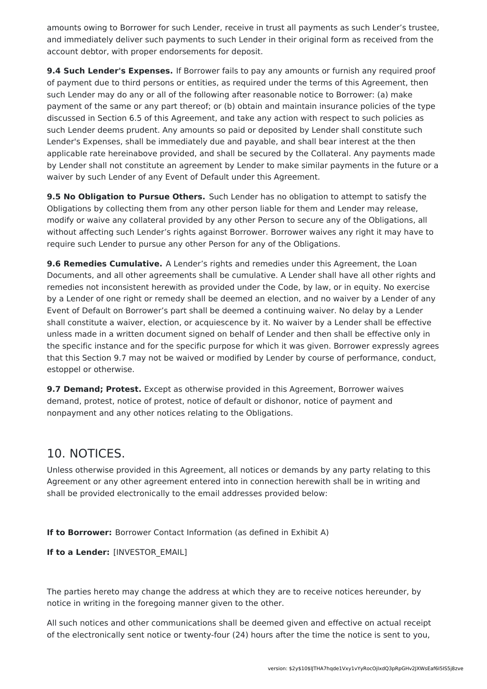amounts owing to Borrower for such Lender, receive in trust all payments as such Lender's trustee, and immediately deliver such payments to such Lender in their original form as received from the account debtor, with proper endorsements for deposit.

**9.4 Such Lender's Expenses.** If Borrower fails to pay any amounts or furnish any required proof of payment due to third persons or entities, as required under the terms of this Agreement, then such Lender may do any or all of the following after reasonable notice to Borrower: (a) make payment of the same or any part thereof; or (b) obtain and maintain insurance policies of the type discussed in Section 6.5 of this Agreement, and take any action with respect to such policies as such Lender deems prudent. Any amounts so paid or deposited by Lender shall constitute such Lender's Expenses, shall be immediately due and payable, and shall bear interest at the then applicable rate hereinabove provided, and shall be secured by the Collateral. Any payments made by Lender shall not constitute an agreement by Lender to make similar payments in the future or a waiver by such Lender of any Event of Default under this Agreement.

**9.5 No Obligation to Pursue Others.** Such Lender has no obligation to attempt to satisfy the Obligations by collecting them from any other person liable for them and Lender may release, modify or waive any collateral provided by any other Person to secure any of the Obligations, all without affecting such Lender's rights against Borrower. Borrower waives any right it may have to require such Lender to pursue any other Person for any of the Obligations.

**9.6 Remedies Cumulative.** A Lender's rights and remedies under this Agreement, the Loan Documents, and all other agreements shall be cumulative. A Lender shall have all other rights and remedies not inconsistent herewith as provided under the Code, by law, or in equity. No exercise by a Lender of one right or remedy shall be deemed an election, and no waiver by a Lender of any Event of Default on Borrower's part shall be deemed a continuing waiver. No delay by a Lender shall constitute a waiver, election, or acquiescence by it. No waiver by a Lender shall be effective unless made in a written document signed on behalf of Lender and then shall be effective only in the specific instance and for the specific purpose for which it was given. Borrower expressly agrees that this Section 9.7 may not be waived or modified by Lender by course of performance, conduct, estoppel or otherwise.

**9.7 Demand; Protest.** Except as otherwise provided in this Agreement, Borrower waives demand, protest, notice of protest, notice of default or dishonor, notice of payment and nonpayment and any other notices relating to the Obligations.

### 10. NOTICES.

Unless otherwise provided in this Agreement, all notices or demands by any party relating to this Agreement or any other agreement entered into in connection herewith shall be in writing and shall be provided electronically to the email addresses provided below:

**If to Borrower:** Borrower Contact Information (as defined in Exhibit A)

**If to a Lender:** [INVESTOR\_EMAIL]

The parties hereto may change the address at which they are to receive notices hereunder, by notice in writing in the foregoing manner given to the other.

All such notices and other communications shall be deemed given and effective on actual receipt of the electronically sent notice or twenty-four (24) hours after the time the notice is sent to you,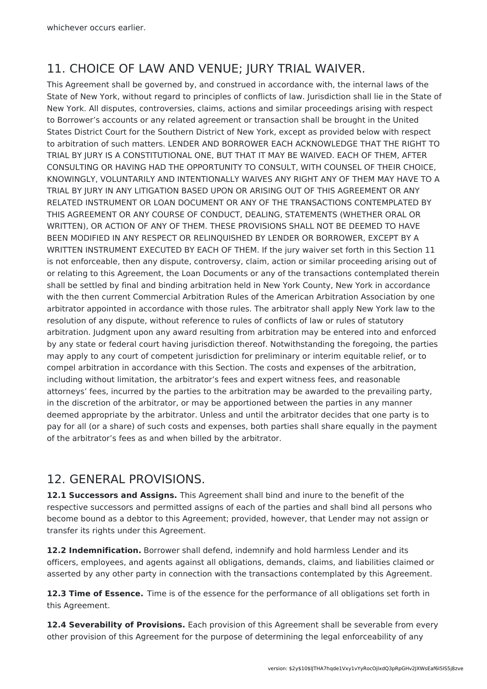## 11. CHOICE OF LAW AND VENUE; JURY TRIAL WAIVER.

This Agreement shall be governed by, and construed in accordance with, the internal laws of the State of New York, without regard to principles of conflicts of law. Jurisdiction shall lie in the State of New York. All disputes, controversies, claims, actions and similar proceedings arising with respect to Borrower's accounts or any related agreement or transaction shall be brought in the United States District Court for the Southern District of New York, except as provided below with respect to arbitration of such matters. LENDER AND BORROWER EACH ACKNOWLEDGE THAT THE RIGHT TO TRIAL BY JURY IS A CONSTITUTIONAL ONE, BUT THAT IT MAY BE WAIVED. EACH OF THEM, AFTER CONSULTING OR HAVING HAD THE OPPORTUNITY TO CONSULT, WITH COUNSEL OF THEIR CHOICE, KNOWINGLY, VOLUNTARILY AND INTENTIONALLY WAIVES ANY RIGHT ANY OF THEM MAY HAVE TO A TRIAL BY JURY IN ANY LITIGATION BASED UPON OR ARISING OUT OF THIS AGREEMENT OR ANY RELATED INSTRUMENT OR LOAN DOCUMENT OR ANY OF THE TRANSACTIONS CONTEMPLATED BY THIS AGREEMENT OR ANY COURSE OF CONDUCT, DEALING, STATEMENTS (WHETHER ORAL OR WRITTEN), OR ACTION OF ANY OF THEM. THESE PROVISIONS SHALL NOT BE DEEMED TO HAVE BEEN MODIFIED IN ANY RESPECT OR RELINQUISHED BY LENDER OR BORROWER, EXCEPT BY A WRITTEN INSTRUMENT EXECUTED BY EACH OF THEM. If the jury waiver set forth in this Section 11 is not enforceable, then any dispute, controversy, claim, action or similar proceeding arising out of or relating to this Agreement, the Loan Documents or any of the transactions contemplated therein shall be settled by final and binding arbitration held in New York County, New York in accordance with the then current Commercial Arbitration Rules of the American Arbitration Association by one arbitrator appointed in accordance with those rules. The arbitrator shall apply New York law to the resolution of any dispute, without reference to rules of conflicts of law or rules of statutory arbitration. Judgment upon any award resulting from arbitration may be entered into and enforced by any state or federal court having jurisdiction thereof. Notwithstanding the foregoing, the parties may apply to any court of competent jurisdiction for preliminary or interim equitable relief, or to compel arbitration in accordance with this Section. The costs and expenses of the arbitration, including without limitation, the arbitrator's fees and expert witness fees, and reasonable attorneys' fees, incurred by the parties to the arbitration may be awarded to the prevailing party, in the discretion of the arbitrator, or may be apportioned between the parties in any manner deemed appropriate by the arbitrator. Unless and until the arbitrator decides that one party is to pay for all (or a share) of such costs and expenses, both parties shall share equally in the payment of the arbitrator's fees as and when billed by the arbitrator.

## 12. GENERAL PROVISIONS.

**12.1 Successors and Assigns.** This Agreement shall bind and inure to the benefit of the respective successors and permitted assigns of each of the parties and shall bind all persons who become bound as a debtor to this Agreement; provided, however, that Lender may not assign or transfer its rights under this Agreement.

**12.2 Indemnification.** Borrower shall defend, indemnify and hold harmless Lender and its officers, employees, and agents against all obligations, demands, claims, and liabilities claimed or asserted by any other party in connection with the transactions contemplated by this Agreement.

**12.3 Time of Essence.** Time is of the essence for the performance of all obligations set forth in this Agreement.

**12.4 Severability of Provisions.** Each provision of this Agreement shall be severable from every other provision of this Agreement for the purpose of determining the legal enforceability of any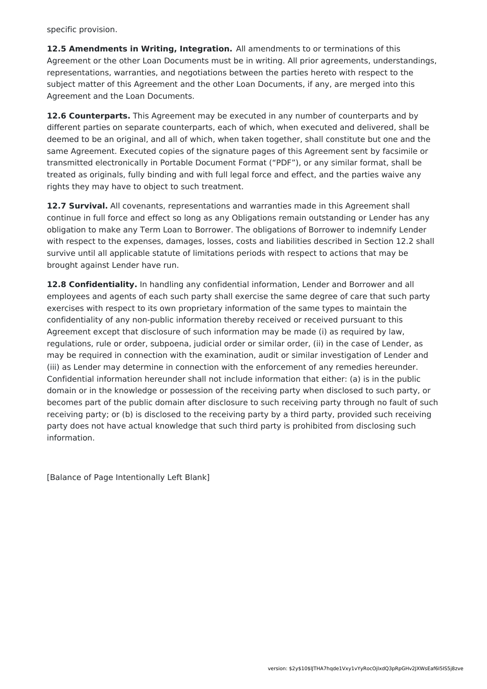specific provision.

**12.5 Amendments in Writing, Integration.** All amendments to or terminations of this Agreement or the other Loan Documents must be in writing. All prior agreements, understandings, representations, warranties, and negotiations between the parties hereto with respect to the subject matter of this Agreement and the other Loan Documents, if any, are merged into this Agreement and the Loan Documents.

**12.6 Counterparts.** This Agreement may be executed in any number of counterparts and by different parties on separate counterparts, each of which, when executed and delivered, shall be deemed to be an original, and all of which, when taken together, shall constitute but one and the same Agreement. Executed copies of the signature pages of this Agreement sent by facsimile or transmitted electronically in Portable Document Format ("PDF"), or any similar format, shall be treated as originals, fully binding and with full legal force and effect, and the parties waive any rights they may have to object to such treatment.

**12.7 Survival.** All covenants, representations and warranties made in this Agreement shall continue in full force and effect so long as any Obligations remain outstanding or Lender has any obligation to make any Term Loan to Borrower. The obligations of Borrower to indemnify Lender with respect to the expenses, damages, losses, costs and liabilities described in Section 12.2 shall survive until all applicable statute of limitations periods with respect to actions that may be brought against Lender have run.

**12.8 Confidentiality.** In handling any confidential information, Lender and Borrower and all employees and agents of each such party shall exercise the same degree of care that such party exercises with respect to its own proprietary information of the same types to maintain the confidentiality of any non-public information thereby received or received pursuant to this Agreement except that disclosure of such information may be made (i) as required by law, regulations, rule or order, subpoena, judicial order or similar order, (ii) in the case of Lender, as may be required in connection with the examination, audit or similar investigation of Lender and (iii) as Lender may determine in connection with the enforcement of any remedies hereunder. Confidential information hereunder shall not include information that either: (a) is in the public domain or in the knowledge or possession of the receiving party when disclosed to such party, or becomes part of the public domain after disclosure to such receiving party through no fault of such receiving party; or (b) is disclosed to the receiving party by a third party, provided such receiving party does not have actual knowledge that such third party is prohibited from disclosing such information.

[Balance of Page Intentionally Left Blank]